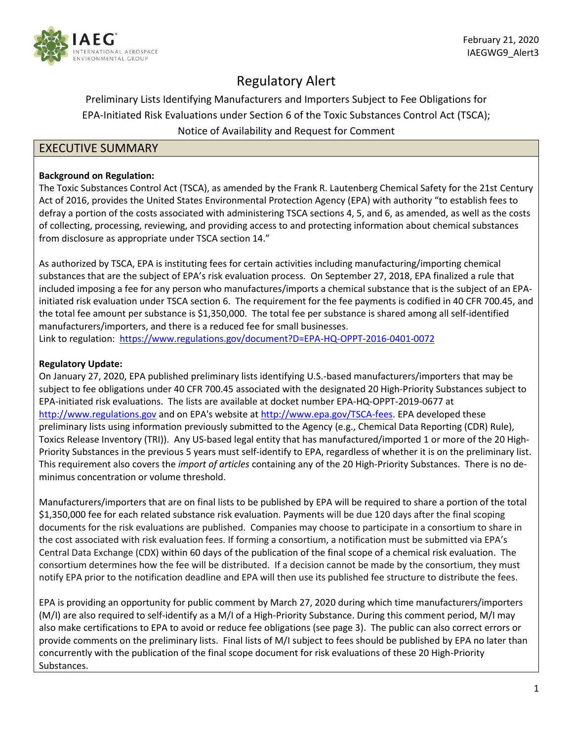

# Regulatory Alert

# Preliminary Lists Identifying Manufacturers and Importers Subject to Fee Obligations for EPA-Initiated Risk Evaluations under Section 6 of the Toxic Substances Control Act (TSCA); Notice of Availability and Request for Comment

# EXECUTIVE SUMMARY

# **Background on Regulation:**

The Toxic Substances Control Act (TSCA), as amended by the Frank R. Lautenberg Chemical Safety for the 21st Century Act of 2016, provides the United States Environmental Protection Agency (EPA) with authority "to establish fees to defray a portion of the costs associated with administering TSCA sections 4, 5, and 6, as amended, as well as the costs of collecting, processing, reviewing, and providing access to and protecting information about chemical substances from disclosure as appropriate under TSCA section 14."

As authorized by TSCA, EPA is instituting fees for certain activities including manufacturing/importing chemical substances that are the subject of EPA's risk evaluation process. On September 27, 2018, EPA finalized a rule that included imposing a fee for any person who manufactures/imports a chemical substance that is the subject of an EPAinitiated risk evaluation under TSCA section 6. The requirement for the fee payments is codified in 40 CFR 700.45, and the total fee amount per substance is \$1,350,000. The total fee per substance is shared among all self-identified manufacturers/importers, and there is a reduced fee for small businesses.

Link to regulation: <https://www.regulations.gov/document?D=EPA-HQ-OPPT-2016-0401-0072>

# **Regulatory Update:**

On January 27, 2020, EPA published preliminary lists identifying U.S.-based manufacturers/importers that may be subject to fee obligations under 40 CFR 700.45 associated with the designated 20 High-Priority Substances subject to EPA-initiated risk evaluations. The lists are available at docket number EPA-HQ-OPPT-2019-0677 at [http://www.regulations.gov](http://www.regulations.gov/) and on EPA's website at [http://www.epa.gov/TSCA-fees.](http://www.epa.gov/TSCA-fees) EPA developed these preliminary lists using information previously submitted to the Agency (e.g., Chemical Data Reporting (CDR) Rule), Toxics Release Inventory (TRI)). Any US-based legal entity that has manufactured/imported 1 or more of the 20 High-Priority Substances in the previous 5 years must self-identify to EPA, regardless of whether it is on the preliminary list. This requirement also covers the *import of articles* containing any of the 20 High-Priority Substances. There is no deminimus concentration or volume threshold.

Manufacturers/importers that are on final lists to be published by EPA will be required to share a portion of the total \$1,350,000 fee for each related substance risk evaluation. Payments will be due 120 days after the final scoping documents for the risk evaluations are published. Companies may choose to participate in a consortium to share in the cost associated with risk evaluation fees. If forming a consortium, a notification must be submitted via EPA's Central Data Exchange (CDX) within 60 days of the publication of the final scope of a chemical risk evaluation. The consortium determines how the fee will be distributed. If a decision cannot be made by the consortium, they must notify EPA prior to the notification deadline and EPA will then use its published fee structure to distribute the fees.

EPA is providing an opportunity for public comment by March 27, 2020 during which time manufacturers/importers (M/I) are also required to self-identify as a M/I of a High-Priority Substance. During this comment period, M/I may also make certifications to EPA to avoid or reduce fee obligations (see page 3). The public can also correct errors or provide comments on the preliminary lists. Final lists of M/I subject to fees should be published by EPA no later than concurrently with the publication of the final scope document for risk evaluations of these 20 High-Priority Substances.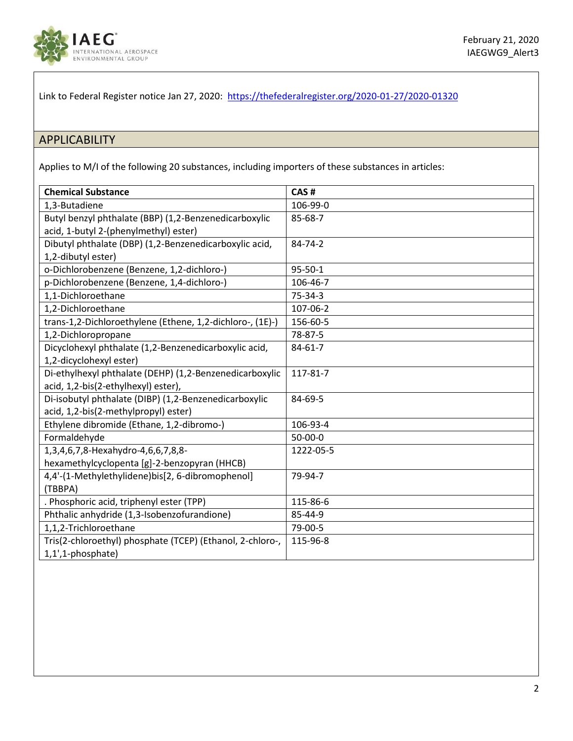

Link to Federal Register notice Jan 27, 2020: <https://thefederalregister.org/2020-01-27/2020-01320>

# APPLICABILITY

Applies to M/I of the following 20 substances, including importers of these substances in articles:

| <b>Chemical Substance</b>                                 | CAS#          |
|-----------------------------------------------------------|---------------|
| 1,3-Butadiene                                             | 106-99-0      |
| Butyl benzyl phthalate (BBP) (1,2-Benzenedicarboxylic     | 85-68-7       |
| acid, 1-butyl 2-(phenylmethyl) ester)                     |               |
| Dibutyl phthalate (DBP) (1,2-Benzenedicarboxylic acid,    | 84-74-2       |
| 1,2-dibutyl ester)                                        |               |
| o-Dichlorobenzene (Benzene, 1,2-dichloro-)                | $95 - 50 - 1$ |
| p-Dichlorobenzene (Benzene, 1,4-dichloro-)                | 106-46-7      |
| 1,1-Dichloroethane                                        | 75-34-3       |
| 1,2-Dichloroethane                                        | 107-06-2      |
| trans-1,2-Dichloroethylene (Ethene, 1,2-dichloro-, (1E)-) | 156-60-5      |
| 1,2-Dichloropropane                                       | 78-87-5       |
| Dicyclohexyl phthalate (1,2-Benzenedicarboxylic acid,     | $84 - 61 - 7$ |
| 1,2-dicyclohexyl ester)                                   |               |
| Di-ethylhexyl phthalate (DEHP) (1,2-Benzenedicarboxylic   | 117-81-7      |
| acid, 1,2-bis(2-ethylhexyl) ester),                       |               |
| Di-isobutyl phthalate (DIBP) (1,2-Benzenedicarboxylic     | 84-69-5       |
| acid, 1,2-bis(2-methylpropyl) ester)                      |               |
| Ethylene dibromide (Ethane, 1,2-dibromo-)                 | 106-93-4      |
| Formaldehyde                                              | 50-00-0       |
| 1,3,4,6,7,8-Hexahydro-4,6,6,7,8,8-                        | 1222-05-5     |
| hexamethylcyclopenta [g]-2-benzopyran (HHCB)              |               |
| 4,4'-(1-Methylethylidene)bis[2, 6-dibromophenol]          | 79-94-7       |
| (TBBPA)                                                   |               |
| . Phosphoric acid, triphenyl ester (TPP)                  | 115-86-6      |
| Phthalic anhydride (1,3-Isobenzofurandione)               | 85-44-9       |
| 1,1,2-Trichloroethane                                     | 79-00-5       |
| Tris(2-chloroethyl) phosphate (TCEP) (Ethanol, 2-chloro-, | 115-96-8      |
| 1,1',1-phosphate)                                         |               |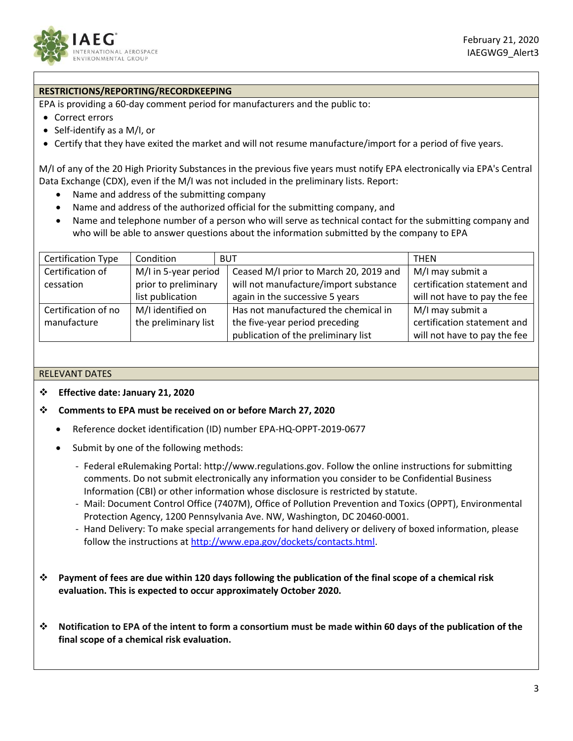

## **RESTRICTIONS/REPORTING/RECORDKEEPING**

EPA is providing a 60-day comment period for manufacturers and the public to:

- Correct errors
- Self-identify as a M/I, or
- Certify that they have exited the market and will not resume manufacture/import for a period of five years.

M/I of any of the 20 High Priority Substances in the previous five years must notify EPA electronically via EPA's Central Data Exchange (CDX), even if the M/I was not included in the preliminary lists. Report:

- Name and address of the submitting company
- Name and address of the authorized official for the submitting company, and
- Name and telephone number of a person who will serve as technical contact for the submitting company and who will be able to answer questions about the information submitted by the company to EPA

| <b>Certification Type</b> | Condition            | <b>BUT</b>                             | <b>THEN</b>                  |
|---------------------------|----------------------|----------------------------------------|------------------------------|
| Certification of          | M/I in 5-year period | Ceased M/I prior to March 20, 2019 and | M/I may submit a             |
| cessation                 | prior to preliminary | will not manufacture/import substance  | certification statement and  |
|                           | list publication     | again in the successive 5 years        | will not have to pay the fee |
| Certification of no       | M/I identified on    | Has not manufactured the chemical in   | M/I may submit a             |
| manufacture               | the preliminary list | the five-year period preceding         | certification statement and  |
|                           |                      | publication of the preliminary list    | will not have to pay the fee |

#### RELEVANT DATES

#### **Effective date: January 21, 2020**

#### **Comments to EPA must be received on or before March 27, 2020**

- Reference docket identification (ID) number EPA-HQ-OPPT-2019-0677
- Submit by one of the following methods:
	- Federal eRulemaking Portal: http://www.regulations.gov. Follow the online instructions for submitting comments. Do not submit electronically any information you consider to be Confidential Business Information (CBI) or other information whose disclosure is restricted by statute.
	- Mail: Document Control Office (7407M), Office of Pollution Prevention and Toxics (OPPT), Environmental Protection Agency, 1200 Pennsylvania Ave. NW, Washington, DC 20460-0001.
	- Hand Delivery: To make special arrangements for hand delivery or delivery of boxed information, please follow the instructions at [http://www.epa.gov/dockets/contacts.html.](http://www.epa.gov/dockets/contacts.html)
- **Payment of fees are due within 120 days following the publication of the final scope of a chemical risk evaluation. This is expected to occur approximately October 2020.**
- **Notification to EPA of the intent to form a consortium must be made within 60 days of the publication of the final scope of a chemical risk evaluation.**